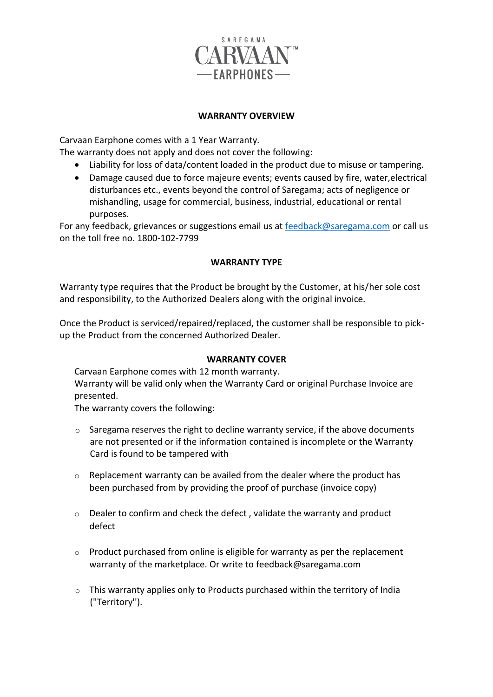

## **WARRANTY OVERVIEW**

Carvaan Earphone comes with a 1 Year Warranty.

The warranty does not apply and does not cover the following:

- Liability for loss of data/content loaded in the product due to misuse or tampering.
- Damage caused due to force majeure events; events caused by fire, water,electrical disturbances etc., events beyond the control of Saregama; acts of negligence or mishandling, usage for commercial, business, industrial, educational or rental purposes.

For any feedback, grievances or suggestions email us at [feedback@saregama.com](mailto:feedback@saregama.com) or call us on the toll free no. 1800-102-7799

## **WARRANTY TYPE**

Warranty type requires that the Product be brought by the Customer, at his/her sole cost and responsibility, to the Authorized Dealers along with the original invoice.

Once the Product is serviced/repaired/replaced, the customer shall be responsible to pickup the Product from the concerned Authorized Dealer.

## **WARRANTY COVER**

Carvaan Earphone comes with 12 month warranty. Warranty will be valid only when the Warranty Card or original Purchase Invoice are presented.

The warranty covers the following:

- $\circ$  Saregama reserves the right to decline warranty service, if the above documents are not presented or if the information contained is incomplete or the Warranty Card is found to be tampered with
- o Replacement warranty can be availed from the dealer where the product has been purchased from by providing the proof of purchase (invoice copy)
- $\circ$  Dealer to confirm and check the defect , validate the warranty and product defect
- o Product purchased from online is eligible for warranty as per the replacement warranty of the marketplace. Or write to [feedback@saregama.com](mailto:feedback@saregama.com)
- $\circ$  This warranty applies only to Products purchased within the territory of India ("Territory'').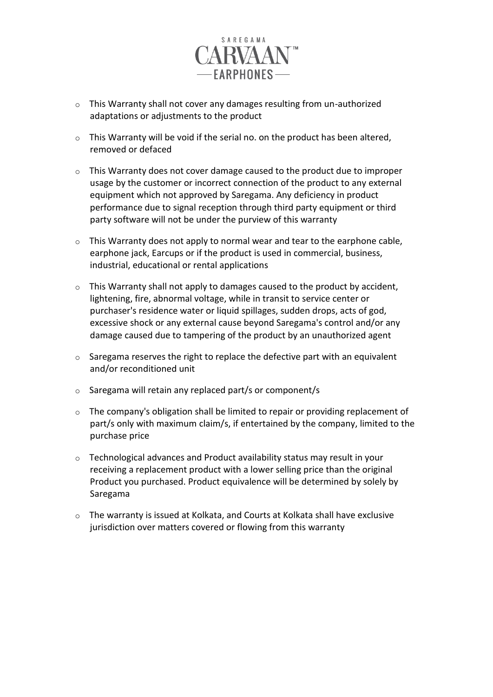

- o This Warranty shall not cover any damages resulting from un-authorized adaptations or adjustments to the product
- $\circ$  This Warranty will be void if the serial no. on the product has been altered, removed or defaced
- $\circ$  This Warranty does not cover damage caused to the product due to improper usage by the customer or incorrect connection of the product to any external equipment which not approved by Saregama. Any deficiency in product performance due to signal reception through third party equipment or third party software will not be under the purview of this warranty
- $\circ$  This Warranty does not apply to normal wear and tear to the earphone cable, earphone jack, Earcups or if the product is used in commercial, business, industrial, educational or rental applications
- $\circ$  This Warranty shall not apply to damages caused to the product by accident, lightening, fire, abnormal voltage, while in transit to service center or purchaser's residence water or liquid spillages, sudden drops, acts of god, excessive shock or any external cause beyond Saregama's control and/or any damage caused due to tampering of the product by an unauthorized agent
- $\circ$  Saregama reserves the right to replace the defective part with an equivalent and/or reconditioned unit
- o Saregama will retain any replaced part/s or component/s
- o The company's obligation shall be limited to repair or providing replacement of part/s only with maximum claim/s, if entertained by the company, limited to the purchase price
- o Technological advances and Product availability status may result in your receiving a replacement product with a lower selling price than the original Product you purchased. Product equivalence will be determined by solely by Saregama
- $\circ$  The warranty is issued at Kolkata, and Courts at Kolkata shall have exclusive jurisdiction over matters covered or flowing from this warranty